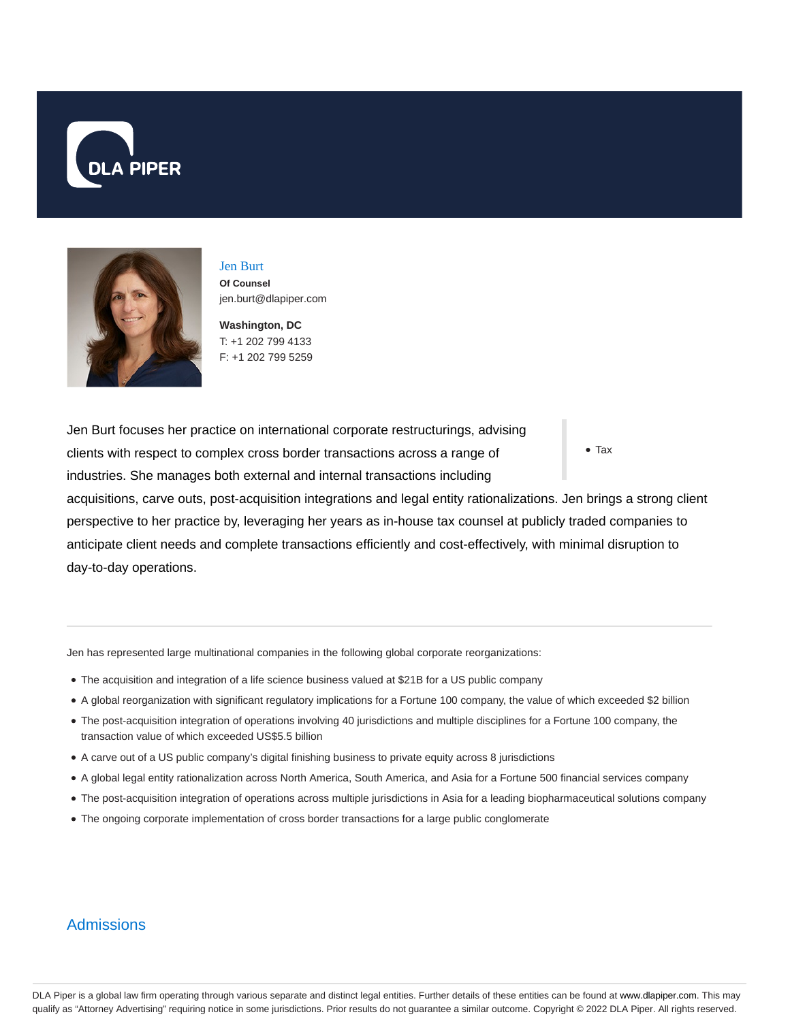



Jen Burt **Of Counsel** jen.burt@dlapiper.com

**Washington, DC** T: +1 202 799 4133 F: +1 202 799 5259

Jen Burt focuses her practice on international corporate restructurings, advising clients with respect to complex cross border transactions across a range of industries. She manages both external and internal transactions including

Tax

acquisitions, carve outs, post-acquisition integrations and legal entity rationalizations. Jen brings a strong client perspective to her practice by, leveraging her years as in-house tax counsel at publicly traded companies to anticipate client needs and complete transactions efficiently and cost-effectively, with minimal disruption to day-to-day operations.

Jen has represented large multinational companies in the following global corporate reorganizations:

- The acquisition and integration of a life science business valued at \$21B for a US public company
- A global reorganization with significant regulatory implications for a Fortune 100 company, the value of which exceeded \$2 billion
- The post-acquisition integration of operations involving 40 jurisdictions and multiple disciplines for a Fortune 100 company, the transaction value of which exceeded US\$5.5 billion
- A carve out of a US public company's digital finishing business to private equity across 8 jurisdictions
- A global legal entity rationalization across North America, South America, and Asia for a Fortune 500 financial services company
- The post-acquisition integration of operations across multiple jurisdictions in Asia for a leading biopharmaceutical solutions company
- The ongoing corporate implementation of cross border transactions for a large public conglomerate

## **Admissions**

DLA Piper is a global law firm operating through various separate and distinct legal entities. Further details of these entities can be found at www.dlapiper.com. This may qualify as "Attorney Advertising" requiring notice in some jurisdictions. Prior results do not guarantee a similar outcome. Copyright © 2022 DLA Piper. All rights reserved.